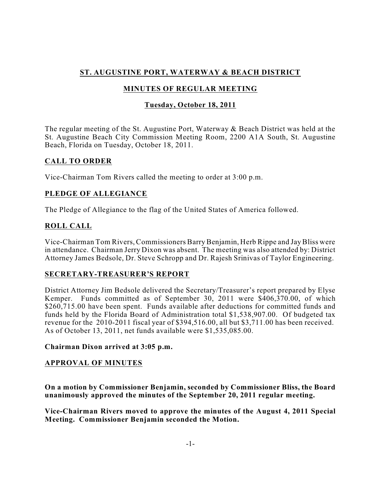# **ST. AUGUSTINE PORT, WATERWAY & BEACH DISTRICT**

# **MINUTES OF REGULAR MEETING**

## **Tuesday, October 18, 2011**

The regular meeting of the St. Augustine Port, Waterway & Beach District was held at the St. Augustine Beach City Commission Meeting Room, 2200 A1A South, St. Augustine Beach, Florida on Tuesday, October 18, 2011.

## **CALL TO ORDER**

Vice-Chairman Tom Rivers called the meeting to order at 3:00 p.m.

## **PLEDGE OF ALLEGIANCE**

The Pledge of Allegiance to the flag of the United States of America followed.

# **ROLL CALL**

Vice-Chairman Tom Rivers, Commissioners Barry Benjamin, Herb Rippe and JayBliss were in attendance. Chairman Jerry Dixon was absent. The meeting was also attended by: District Attorney James Bedsole, Dr. Steve Schropp and Dr. Rajesh Srinivas of Taylor Engineering.

## **SECRETARY-TREASURER'S REPORT**

District Attorney Jim Bedsole delivered the Secretary/Treasurer's report prepared by Elyse Kemper. Funds committed as of September 30, 2011 were \$406,370.00, of which \$260,715.00 have been spent. Funds available after deductions for committed funds and funds held by the Florida Board of Administration total \$1,538,907.00. Of budgeted tax revenue for the 2010-2011 fiscal year of \$394,516.00, all but \$3,711.00 has been received. As of October 13, 2011, net funds available were \$1,535,085.00.

#### **Chairman Dixon arrived at 3:05 p.m.**

## **APPROVAL OF MINUTES**

**On a motion by Commissioner Benjamin, seconded by Commissioner Bliss, the Board unanimously approved the minutes of the September 20, 2011 regular meeting.**

**Vice-Chairman Rivers moved to approve the minutes of the August 4, 2011 Special Meeting. Commissioner Benjamin seconded the Motion.**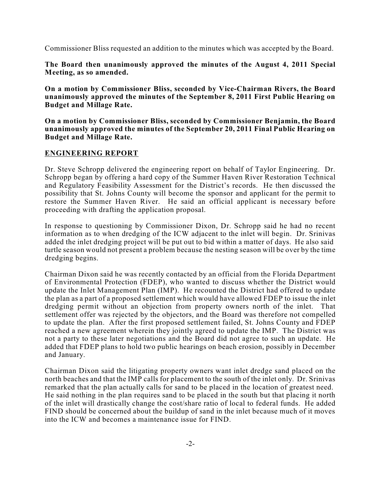Commissioner Bliss requested an addition to the minutes which was accepted by the Board.

**The Board then unanimously approved the minutes of the August 4, 2011 Special Meeting, as so amended.**

**On a motion by Commissioner Bliss, seconded by Vice-Chairman Rivers, the Board unanimously approved the minutes of the September 8, 2011 First Public Hearing on Budget and Millage Rate.**

**On a motion by Commissioner Bliss, seconded by Commissioner Benjamin, the Board unanimously approved the minutes of the September 20, 2011 Final Public Hearing on Budget and Millage Rate.**

#### **ENGINEERING REPORT**

Dr. Steve Schropp delivered the engineering report on behalf of Taylor Engineering. Dr. Schropp began by offering a hard copy of the Summer Haven River Restoration Technical and Regulatory Feasibility Assessment for the District's records. He then discussed the possibility that St. Johns County will become the sponsor and applicant for the permit to restore the Summer Haven River. He said an official applicant is necessary before proceeding with drafting the application proposal.

In response to questioning by Commissioner Dixon, Dr. Schropp said he had no recent information as to when dredging of the ICW adjacent to the inlet will begin. Dr. Srinivas added the inlet dredging project will be put out to bid within a matter of days. He also said turtle season would not present a problem because the nesting season will be over by the time dredging begins.

Chairman Dixon said he was recently contacted by an official from the Florida Department of Environmental Protection (FDEP), who wanted to discuss whether the District would update the Inlet Management Plan (IMP). He recounted the District had offered to update the plan as a part of a proposed settlement which would have allowed FDEP to issue the inlet dredging permit without an objection from property owners north of the inlet. That settlement offer was rejected by the objectors, and the Board was therefore not compelled to update the plan. After the first proposed settlement failed, St. Johns County and FDEP reached a new agreement wherein they jointly agreed to update the IMP. The District was not a party to these later negotiations and the Board did not agree to such an update. He added that FDEP plans to hold two public hearings on beach erosion, possibly in December and January.

Chairman Dixon said the litigating property owners want inlet dredge sand placed on the north beaches and that the IMP calls for placement to the south of the inlet only. Dr. Srinivas remarked that the plan actually calls for sand to be placed in the location of greatest need. He said nothing in the plan requires sand to be placed in the south but that placing it north of the inlet will drastically change the cost/share ratio of local to federal funds. He added FIND should be concerned about the buildup of sand in the inlet because much of it moves into the ICW and becomes a maintenance issue for FIND.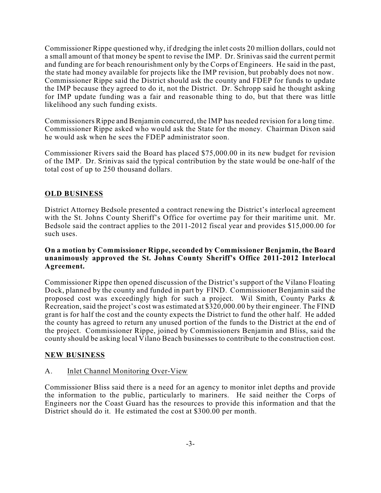Commissioner Rippe questioned why, if dredging the inlet costs 20 million dollars, could not a small amount of that money be spent to revise the IMP. Dr. Srinivas said the current permit and funding are for beach renourishment only by the Corps of Engineers. He said in the past, the state had money available for projects like the IMP revision, but probably does not now. Commissioner Rippe said the District should ask the county and FDEP for funds to update the IMP because they agreed to do it, not the District. Dr. Schropp said he thought asking for IMP update funding was a fair and reasonable thing to do, but that there was little likelihood any such funding exists.

Commissioners Rippe and Benjamin concurred, the IMP has needed revision for a long time. Commissioner Rippe asked who would ask the State for the money. Chairman Dixon said he would ask when he sees the FDEP administrator soon.

Commissioner Rivers said the Board has placed \$75,000.00 in its new budget for revision of the IMP. Dr. Srinivas said the typical contribution by the state would be one-half of the total cost of up to 250 thousand dollars.

### **OLD BUSINESS**

District Attorney Bedsole presented a contract renewing the District's interlocal agreement with the St. Johns County Sheriff's Office for overtime pay for their maritime unit. Mr. Bedsole said the contract applies to the 2011-2012 fiscal year and provides \$15,000.00 for such uses.

#### **On a motion by Commissioner Rippe,seconded by Commissioner Benjamin, the Board unanimously approved the St. Johns County Sheriff's Office 2011-2012 Interlocal Agreement.**

Commissioner Rippe then opened discussion of the District's support of the Vilano Floating Dock, planned by the county and funded in part by FIND. Commissioner Benjamin said the proposed cost was exceedingly high for such a project. Wil Smith, County Parks & Recreation, said the project's cost was estimated at \$320,000.00 by their engineer. The FIND grant is for half the cost and the county expects the District to fund the other half. He added the county has agreed to return any unused portion of the funds to the District at the end of the project. Commissioner Rippe, joined by Commissioners Benjamin and Bliss, said the county should be asking local Vilano Beach businesses to contribute to the construction cost.

#### **NEW BUSINESS**

#### A. Inlet Channel Monitoring Over-View

Commissioner Bliss said there is a need for an agency to monitor inlet depths and provide the information to the public, particularly to mariners. He said neither the Corps of Engineers nor the Coast Guard has the resources to provide this information and that the District should do it. He estimated the cost at \$300.00 per month.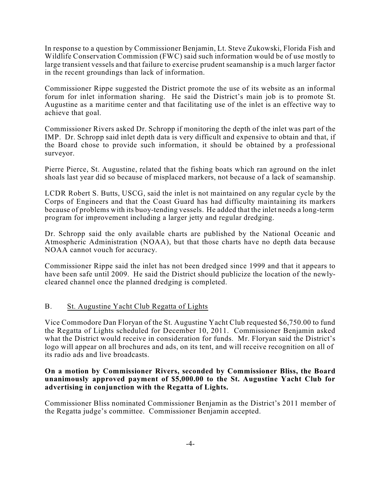In response to a question by Commissioner Benjamin, Lt. Steve Zukowski, Florida Fish and Wildlife Conservation Commission (FWC) said such information would be of use mostly to large transient vessels and that failure to exercise prudent seamanship is a much larger factor in the recent groundings than lack of information.

Commissioner Rippe suggested the District promote the use of its website as an informal forum for inlet information sharing. He said the District's main job is to promote St. Augustine as a maritime center and that facilitating use of the inlet is an effective way to achieve that goal.

Commissioner Rivers asked Dr. Schropp if monitoring the depth of the inlet was part of the IMP. Dr. Schropp said inlet depth data is very difficult and expensive to obtain and that, if the Board chose to provide such information, it should be obtained by a professional surveyor.

Pierre Pierce, St. Augustine, related that the fishing boats which ran aground on the inlet shoals last year did so because of misplaced markers, not because of a lack of seamanship.

LCDR Robert S. Butts, USCG, said the inlet is not maintained on any regular cycle by the Corps of Engineers and that the Coast Guard has had difficulty maintaining its markers because of problems with its buoy-tending vessels. He added that the inlet needs a long-term program for improvement including a larger jetty and regular dredging.

Dr. Schropp said the only available charts are published by the National Oceanic and Atmospheric Administration (NOAA), but that those charts have no depth data because NOAA cannot vouch for accuracy.

Commissioner Rippe said the inlet has not been dredged since 1999 and that it appears to have been safe until 2009. He said the District should publicize the location of the newlycleared channel once the planned dredging is completed.

#### B. St. Augustine Yacht Club Regatta of Lights

Vice Commodore Dan Floryan of the St. Augustine Yacht Club requested \$6,750.00 to fund the Regatta of Lights scheduled for December 10, 2011. Commissioner Benjamin asked what the District would receive in consideration for funds. Mr. Floryan said the District's logo will appear on all brochures and ads, on its tent, and will receive recognition on all of its radio ads and live broadcasts.

#### **On a motion by Commissioner Rivers, seconded by Commissioner Bliss, the Board unanimously approved payment of \$5,000.00 to the St. Augustine Yacht Club for advertising in conjunction with the Regatta of Lights.**

Commissioner Bliss nominated Commissioner Benjamin as the District's 2011 member of the Regatta judge's committee. Commissioner Benjamin accepted.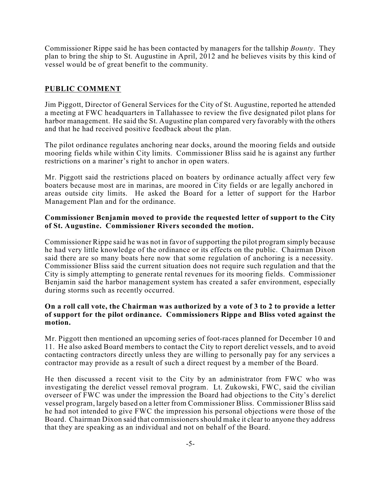Commissioner Rippe said he has been contacted by managers for the tallship *Bounty*. They plan to bring the ship to St. Augustine in April, 2012 and he believes visits by this kind of vessel would be of great benefit to the community.

## **PUBLIC COMMENT**

Jim Piggott, Director of General Services for the City of St. Augustine, reported he attended a meeting at FWC headquarters in Tallahassee to review the five designated pilot plans for harbor management. He said the St. Augustine plan compared very favorably with the others and that he had received positive feedback about the plan.

The pilot ordinance regulates anchoring near docks, around the mooring fields and outside mooring fields while within City limits. Commissioner Bliss said he is against any further restrictions on a mariner's right to anchor in open waters.

Mr. Piggott said the restrictions placed on boaters by ordinance actually affect very few boaters because most are in marinas, are moored in City fields or are legally anchored in areas outside city limits. He asked the Board for a letter of support for the Harbor Management Plan and for the ordinance.

#### **Commissioner Benjamin moved to provide the requested letter of support to the City of St. Augustine. Commissioner Rivers seconded the motion.**

Commissioner Rippe said he was not in favor of supporting the pilot program simply because he had very little knowledge of the ordinance or its effects on the public. Chairman Dixon said there are so many boats here now that some regulation of anchoring is a necessity. Commissioner Bliss said the current situation does not require such regulation and that the City is simply attempting to generate rental revenues for its mooring fields. Commissioner Benjamin said the harbor management system has created a safer environment, especially during storms such as recently occurred.

#### **On a roll call vote, the Chairman was authorized by a vote of 3 to 2 to provide a letter of support for the pilot ordinance. Commissioners Rippe and Bliss voted against the motion.**

Mr. Piggott then mentioned an upcoming series of foot-races planned for December 10 and 11. He also asked Board members to contact the City to report derelict vessels, and to avoid contacting contractors directly unless they are willing to personally pay for any services a contractor may provide as a result of such a direct request by a member of the Board.

He then discussed a recent visit to the City by an administrator from FWC who was investigating the derelict vessel removal program. Lt. Zukowski, FWC, said the civilian overseer of FWC was under the impression the Board had objections to the City's derelict vessel program, largely based on a letter from Commissioner Bliss. Commissioner Bliss said he had not intended to give FWC the impression his personal objections were those of the Board. Chairman Dixon said that commissioners should make it clear to anyone they address that they are speaking as an individual and not on behalf of the Board.